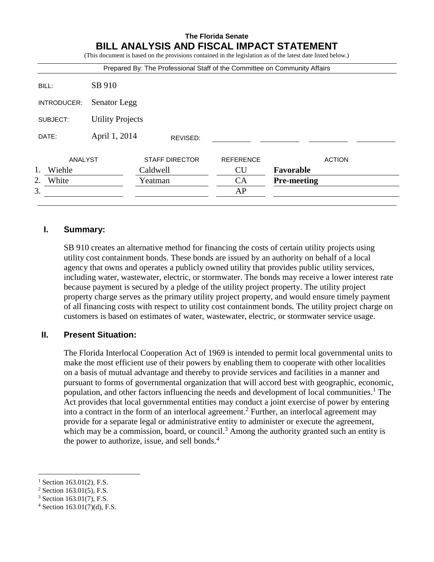# **The Florida Senate BILL ANALYSIS AND FISCAL IMPACT STATEMENT**

(This document is based on the provisions contained in the legislation as of the latest date listed below.)

|                                     |               | Prepared By: The Professional Staff of the Committee on Community Affairs |                  |                    |
|-------------------------------------|---------------|---------------------------------------------------------------------------|------------------|--------------------|
| BILL:                               | SB 910        |                                                                           |                  |                    |
| INTRODUCER:                         | Senator Legg  |                                                                           |                  |                    |
| <b>Utility Projects</b><br>SUBJECT: |               |                                                                           |                  |                    |
| DATE:                               | April 1, 2014 | REVISED:                                                                  |                  |                    |
| ANALYST                             |               | <b>STAFF DIRECTOR</b>                                                     | <b>REFERENCE</b> | <b>ACTION</b>      |
| 1.<br>Wiehle                        |               | Caldwell                                                                  | <b>CU</b>        | Favorable          |
| 2.<br>White                         |               | Yeatman                                                                   | CA               | <b>Pre-meeting</b> |
| 3.                                  |               |                                                                           | AP               |                    |

## **I. Summary:**

SB 910 creates an alternative method for financing the costs of certain utility projects using utility cost containment bonds. These bonds are issued by an authority on behalf of a local agency that owns and operates a publicly owned utility that provides public utility services, including water, wastewater, electric, or stormwater. The bonds may receive a lower interest rate because payment is secured by a pledge of the utility project property. The utility project property charge serves as the primary utility project property, and would ensure timely payment of all financing costs with respect to utility cost containment bonds. The utility project charge on customers is based on estimates of water, wastewater, electric, or stormwater service usage.

## **II. Present Situation:**

The Florida Interlocal Cooperation Act of 1969 is intended to permit local governmental units to make the most efficient use of their powers by enabling them to cooperate with other localities on a basis of mutual advantage and thereby to provide services and facilities in a manner and pursuant to forms of governmental organization that will accord best with geographic, economic, population, and other factors influencing the needs and development of local communities.<sup>1</sup> The Act provides that local governmental entities may conduct a joint exercise of power by entering into a contract in the form of an interlocal agreement. <sup>2</sup> Further, an interlocal agreement may provide for a separate legal or administrative entity to administer or execute the agreement, which may be a commission, board, or council.<sup>3</sup> Among the authority granted such an entity is the power to authorize, issue, and sell bonds. $4$ 

 $\overline{a}$ 

Section 163.01(2), F.S.

 $2$  Section 163.01(5), F.S.

<sup>3</sup> Section 163.01(7), F.S.

 $4$  Section 163.01(7)(d), F.S.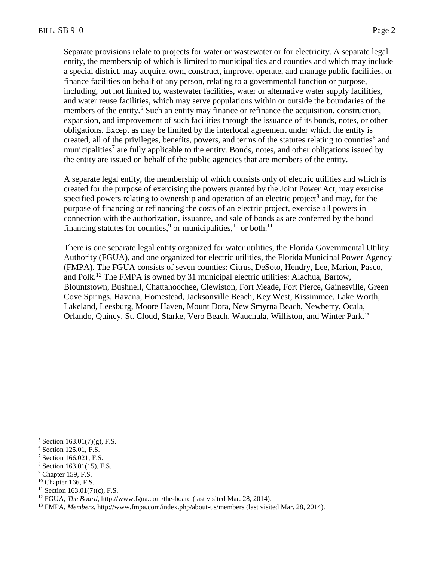Separate provisions relate to projects for water or wastewater or for electricity. A separate legal entity, the membership of which is limited to municipalities and counties and which may include a special district, may acquire, own, construct, improve, operate, and manage public facilities, or finance facilities on behalf of any person, relating to a governmental function or purpose, including, but not limited to, wastewater facilities, water or alternative water supply facilities, and water reuse facilities, which may serve populations within or outside the boundaries of the members of the entity.<sup>5</sup> Such an entity may finance or refinance the acquisition, construction, expansion, and improvement of such facilities through the issuance of its bonds, notes, or other obligations. Except as may be limited by the interlocal agreement under which the entity is created, all of the privileges, benefits, powers, and terms of the statutes relating to counties<sup>6</sup> and municipalities<sup>7</sup> are fully applicable to the entity. Bonds, notes, and other obligations issued by the entity are issued on behalf of the public agencies that are members of the entity.

A separate legal entity, the membership of which consists only of electric utilities and which is created for the purpose of exercising the powers granted by the Joint Power Act, may exercise specified powers relating to ownership and operation of an electric project<sup>8</sup> and may, for the purpose of financing or refinancing the costs of an electric project, exercise all powers in connection with the authorization, issuance, and sale of bonds as are conferred by the bond financing statutes for counties,<sup>9</sup> or municipalities, <sup>10</sup> or both.<sup>11</sup>

There is one separate legal entity organized for water utilities, the Florida Governmental Utility Authority (FGUA), and one organized for electric utilities, the Florida Municipal Power Agency (FMPA). The FGUA consists of seven counties: Citrus, DeSoto, Hendry, Lee, Marion, Pasco, and Polk.<sup>12</sup> The FMPA is owned by 31 municipal electric utilities: Alachua, Bartow, Blountstown, Bushnell, Chattahoochee, Clewiston, Fort Meade, Fort Pierce, Gainesville, Green Cove Springs, Havana, Homestead, Jacksonville Beach, Key West, Kissimmee, Lake Worth, Lakeland, Leesburg, Moore Haven, Mount Dora, New Smyrna Beach, Newberry, Ocala, Orlando, Quincy, St. Cloud, Starke, Vero Beach, Wauchula, Williston, and Winter Park.<sup>13</sup>

 $\overline{a}$ 

 $5$  Section 163.01(7)(g), F.S.

<sup>6</sup> Section 125.01, F.S.

<sup>7</sup> Section 166.021, F.S.

<sup>8</sup> Section 163.01(15), F.S.

<sup>&</sup>lt;sup>9</sup> Chapter 159, F.S.

 $10$  Chapter 166, F.S.

 $11$  Section 163.01(7)(c), F.S.

<sup>12</sup> FGUA, *The Board*, http://www.fgua.com/the-board (last visited Mar. 28, 2014).

<sup>13</sup> FMPA, *Members*, http://www.fmpa.com/index.php/about-us/members (last visited Mar. 28, 2014).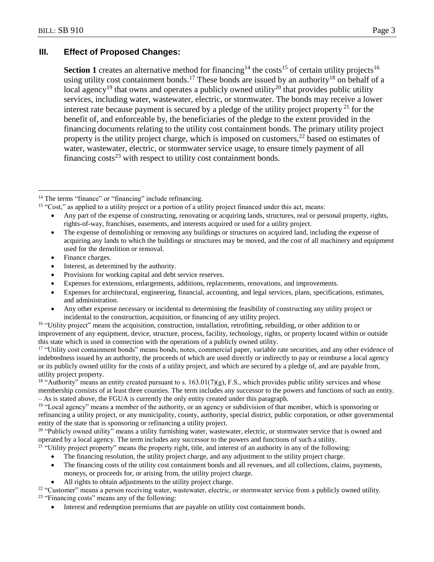# **III. Effect of Proposed Changes:**

**Section 1** creates an alternative method for financing<sup>14</sup> the costs<sup>15</sup> of certain utility projects<sup>16</sup> using utility cost containment bonds.<sup>17</sup> These bonds are issued by an authority<sup>18</sup> on behalf of a local agency<sup>19</sup> that owns and operates a publicly owned utility<sup>20</sup> that provides public utility services, including water, wastewater, electric, or stormwater. The bonds may receive a lower interest rate because payment is secured by a pledge of the utility project property<sup>21</sup> for the benefit of, and enforceable by, the beneficiaries of the pledge to the extent provided in the financing documents relating to the utility cost containment bonds. The primary utility project property is the utility project charge, which is imposed on customers,  $^{22}$  based on estimates of water, wastewater, electric, or stormwater service usage, to ensure timely payment of all financing  $\cos^2$  with respect to utility cost containment bonds.

- Interest, as determined by the authority.
- Provisions for working capital and debt service reserves.
- Expenses for extensions, enlargements, additions, replacements, renovations, and improvements.
- Expenses for architectural, engineering, financial, accounting, and legal services, plans, specifications, estimates, and administration.
- Any other expense necessary or incidental to determining the feasibility of constructing any utility project or incidental to the construction, acquisition, or financing of any utility project.

<sup>16</sup> "Utility project" means the acquisition, construction, installation, retrofitting, rebuilding, or other addition to or improvement of any equipment, device, structure, process, facility, technology, rights, or property located within or outside this state which is used in connection with the operations of a publicly owned utility.

<sup>17</sup> "Utility cost containment bonds" means bonds, notes, commercial paper, variable rate securities, and any other evidence of indebtedness issued by an authority, the proceeds of which are used directly or indirectly to pay or reimburse a local agency or its publicly owned utility for the costs of a utility project, and which are secured by a pledge of, and are payable from, utility project property.

 $18$  "Authority" means an entity created pursuant to s. 163.01(7)(g), F.S., which provides public utility services and whose membership consists of at least three counties. The term includes any successor to the powers and functions of such an entity. – As is stated above, the FGUA is currently the only entity created under this paragraph.

<sup>19</sup> "Local agency" means a member of the authority, or an agency or subdivision of that member, which is sponsoring or refinancing a utility project, or any municipality, county, authority, special district, public corporation, or other governmental entity of the state that is sponsoring or refinancing a utility project.

<sup>20</sup> "Publicly owned utility" means a utility furnishing water, wastewater, electric, or stormwater service that is owned and operated by a local agency. The term includes any successor to the powers and functions of such a utility.

<sup>21</sup> "Utility project property" means the property right, title, and interest of an authority in any of the following:

- The financing resolution, the utility project charge, and any adjustment to the utility project charge.
- The financing costs of the utility cost containment bonds and all revenues, and all collections, claims, payments, moneys, or proceeds for, or arising from, the utility project charge.
- All rights to obtain adjustments to the utility project charge.

<sup>22</sup> "Customer" means a person receiving water, wastewater, electric, or stormwater service from a publicly owned utility. <sup>23</sup> "Financing costs" means any of the following:

Interest and redemption premiums that are payable on utility cost containment bonds.

 $\overline{a}$ <sup>14</sup> The terms "finance" or "financing" include refinancing.

<sup>&</sup>lt;sup>15</sup> "Cost," as applied to a utility project or a portion of a utility project financed under this act, means:

Any part of the expense of constructing, renovating or acquiring lands, structures, real or personal property, rights, rights-of-way, franchises, easements, and interests acquired or used for a utility project.

The expense of demolishing or removing any buildings or structures on acquired land, including the expense of acquiring any lands to which the buildings or structures may be moved, and the cost of all machinery and equipment used for the demolition or removal.

Finance charges.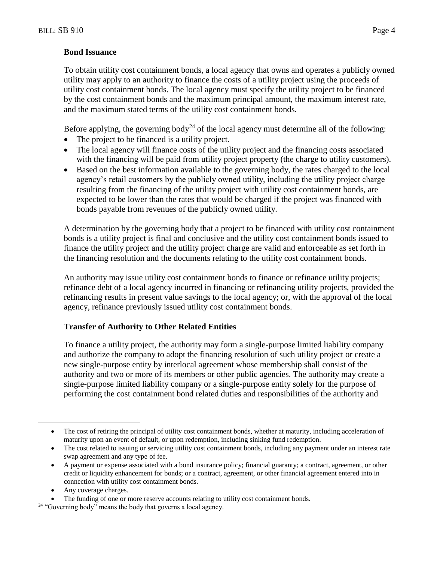#### **Bond Issuance**

To obtain utility cost containment bonds, a local agency that owns and operates a publicly owned utility may apply to an authority to finance the costs of a utility project using the proceeds of utility cost containment bonds. The local agency must specify the utility project to be financed by the cost containment bonds and the maximum principal amount, the maximum interest rate, and the maximum stated terms of the utility cost containment bonds.

Before applying, the governing body<sup>24</sup> of the local agency must determine all of the following:

- The project to be financed is a utility project.
- The local agency will finance costs of the utility project and the financing costs associated with the financing will be paid from utility project property (the charge to utility customers).
- Based on the best information available to the governing body, the rates charged to the local agency's retail customers by the publicly owned utility, including the utility project charge resulting from the financing of the utility project with utility cost containment bonds, are expected to be lower than the rates that would be charged if the project was financed with bonds payable from revenues of the publicly owned utility.

A determination by the governing body that a project to be financed with utility cost containment bonds is a utility project is final and conclusive and the utility cost containment bonds issued to finance the utility project and the utility project charge are valid and enforceable as set forth in the financing resolution and the documents relating to the utility cost containment bonds.

An authority may issue utility cost containment bonds to finance or refinance utility projects; refinance debt of a local agency incurred in financing or refinancing utility projects, provided the refinancing results in present value savings to the local agency; or, with the approval of the local agency, refinance previously issued utility cost containment bonds.

## **Transfer of Authority to Other Related Entities**

To finance a utility project, the authority may form a single-purpose limited liability company and authorize the company to adopt the financing resolution of such utility project or create a new single-purpose entity by interlocal agreement whose membership shall consist of the authority and two or more of its members or other public agencies. The authority may create a single-purpose limited liability company or a single-purpose entity solely for the purpose of performing the cost containment bond related duties and responsibilities of the authority and

Any coverage charges.

 $\overline{a}$ 

The cost of retiring the principal of utility cost containment bonds, whether at maturity, including acceleration of maturity upon an event of default, or upon redemption, including sinking fund redemption.

The cost related to issuing or servicing utility cost containment bonds, including any payment under an interest rate swap agreement and any type of fee.

A payment or expense associated with a bond insurance policy; financial guaranty; a contract, agreement, or other credit or liquidity enhancement for bonds; or a contract, agreement, or other financial agreement entered into in connection with utility cost containment bonds.

The funding of one or more reserve accounts relating to utility cost containment bonds.

<sup>&</sup>lt;sup>24</sup> "Governing body" means the body that governs a local agency.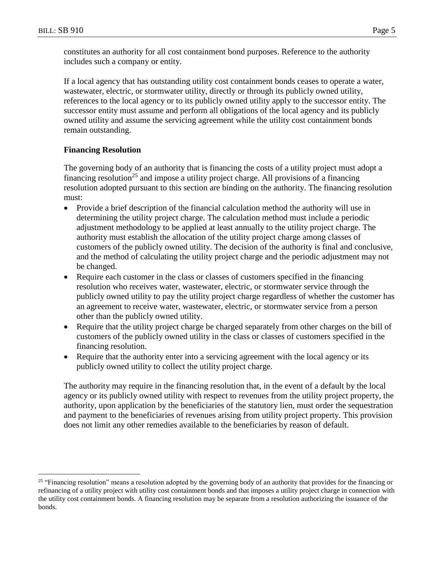$\overline{a}$ 

constitutes an authority for all cost containment bond purposes. Reference to the authority includes such a company or entity.

If a local agency that has outstanding utility cost containment bonds ceases to operate a water, wastewater, electric, or stormwater utility, directly or through its publicly owned utility, references to the local agency or to its publicly owned utility apply to the successor entity. The successor entity must assume and perform all obligations of the local agency and its publicly owned utility and assume the servicing agreement while the utility cost containment bonds remain outstanding.

# **Financing Resolution**

The governing body of an authority that is financing the costs of a utility project must adopt a financing resolution<sup>25</sup> and impose a utility project charge. All provisions of a financing resolution adopted pursuant to this section are binding on the authority. The financing resolution must:

- Provide a brief description of the financial calculation method the authority will use in determining the utility project charge. The calculation method must include a periodic adjustment methodology to be applied at least annually to the utility project charge. The authority must establish the allocation of the utility project charge among classes of customers of the publicly owned utility. The decision of the authority is final and conclusive, and the method of calculating the utility project charge and the periodic adjustment may not be changed.
- Require each customer in the class or classes of customers specified in the financing resolution who receives water, wastewater, electric, or stormwater service through the publicly owned utility to pay the utility project charge regardless of whether the customer has an agreement to receive water, wastewater, electric, or stormwater service from a person other than the publicly owned utility.
- Require that the utility project charge be charged separately from other charges on the bill of customers of the publicly owned utility in the class or classes of customers specified in the financing resolution.
- Require that the authority enter into a servicing agreement with the local agency or its publicly owned utility to collect the utility project charge.

The authority may require in the financing resolution that, in the event of a default by the local agency or its publicly owned utility with respect to revenues from the utility project property, the authority, upon application by the beneficiaries of the statutory lien, must order the sequestration and payment to the beneficiaries of revenues arising from utility project property. This provision does not limit any other remedies available to the beneficiaries by reason of default.

<sup>&</sup>lt;sup>25</sup> "Financing resolution" means a resolution adopted by the governing body of an authority that provides for the financing or refinancing of a utility project with utility cost containment bonds and that imposes a utility project charge in connection with the utility cost containment bonds. A financing resolution may be separate from a resolution authorizing the issuance of the bonds.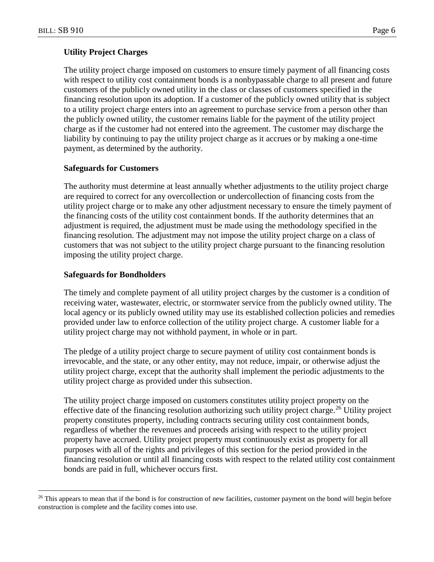$\overline{a}$ 

## **Utility Project Charges**

The utility project charge imposed on customers to ensure timely payment of all financing costs with respect to utility cost containment bonds is a nonbypassable charge to all present and future customers of the publicly owned utility in the class or classes of customers specified in the financing resolution upon its adoption. If a customer of the publicly owned utility that is subject to a utility project charge enters into an agreement to purchase service from a person other than the publicly owned utility, the customer remains liable for the payment of the utility project charge as if the customer had not entered into the agreement. The customer may discharge the liability by continuing to pay the utility project charge as it accrues or by making a one-time payment, as determined by the authority.

#### **Safeguards for Customers**

The authority must determine at least annually whether adjustments to the utility project charge are required to correct for any overcollection or undercollection of financing costs from the utility project charge or to make any other adjustment necessary to ensure the timely payment of the financing costs of the utility cost containment bonds. If the authority determines that an adjustment is required, the adjustment must be made using the methodology specified in the financing resolution. The adjustment may not impose the utility project charge on a class of customers that was not subject to the utility project charge pursuant to the financing resolution imposing the utility project charge.

#### **Safeguards for Bondholders**

The timely and complete payment of all utility project charges by the customer is a condition of receiving water, wastewater, electric, or stormwater service from the publicly owned utility. The local agency or its publicly owned utility may use its established collection policies and remedies provided under law to enforce collection of the utility project charge. A customer liable for a utility project charge may not withhold payment, in whole or in part.

The pledge of a utility project charge to secure payment of utility cost containment bonds is irrevocable, and the state, or any other entity, may not reduce, impair, or otherwise adjust the utility project charge, except that the authority shall implement the periodic adjustments to the utility project charge as provided under this subsection.

The utility project charge imposed on customers constitutes utility project property on the effective date of the financing resolution authorizing such utility project charge.<sup>26</sup> Utility project property constitutes property, including contracts securing utility cost containment bonds, regardless of whether the revenues and proceeds arising with respect to the utility project property have accrued. Utility project property must continuously exist as property for all purposes with all of the rights and privileges of this section for the period provided in the financing resolution or until all financing costs with respect to the related utility cost containment bonds are paid in full, whichever occurs first.

<sup>&</sup>lt;sup>26</sup> This appears to mean that if the bond is for construction of new facilities, customer payment on the bond will begin before construction is complete and the facility comes into use.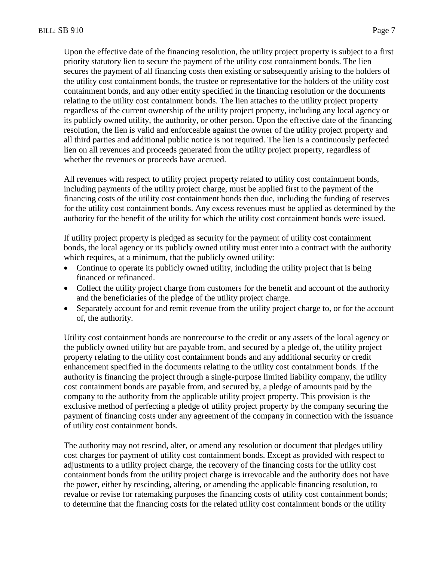Upon the effective date of the financing resolution, the utility project property is subject to a first priority statutory lien to secure the payment of the utility cost containment bonds. The lien secures the payment of all financing costs then existing or subsequently arising to the holders of the utility cost containment bonds, the trustee or representative for the holders of the utility cost containment bonds, and any other entity specified in the financing resolution or the documents relating to the utility cost containment bonds. The lien attaches to the utility project property regardless of the current ownership of the utility project property, including any local agency or its publicly owned utility, the authority, or other person. Upon the effective date of the financing

resolution, the lien is valid and enforceable against the owner of the utility project property and all third parties and additional public notice is not required. The lien is a continuously perfected lien on all revenues and proceeds generated from the utility project property, regardless of whether the revenues or proceeds have accrued.

All revenues with respect to utility project property related to utility cost containment bonds, including payments of the utility project charge, must be applied first to the payment of the financing costs of the utility cost containment bonds then due, including the funding of reserves for the utility cost containment bonds. Any excess revenues must be applied as determined by the authority for the benefit of the utility for which the utility cost containment bonds were issued.

If utility project property is pledged as security for the payment of utility cost containment bonds, the local agency or its publicly owned utility must enter into a contract with the authority which requires, at a minimum, that the publicly owned utility:

- Continue to operate its publicly owned utility, including the utility project that is being financed or refinanced.
- Collect the utility project charge from customers for the benefit and account of the authority and the beneficiaries of the pledge of the utility project charge.
- Separately account for and remit revenue from the utility project charge to, or for the account of, the authority.

Utility cost containment bonds are nonrecourse to the credit or any assets of the local agency or the publicly owned utility but are payable from, and secured by a pledge of, the utility project property relating to the utility cost containment bonds and any additional security or credit enhancement specified in the documents relating to the utility cost containment bonds. If the authority is financing the project through a single-purpose limited liability company, the utility cost containment bonds are payable from, and secured by, a pledge of amounts paid by the company to the authority from the applicable utility project property. This provision is the exclusive method of perfecting a pledge of utility project property by the company securing the payment of financing costs under any agreement of the company in connection with the issuance of utility cost containment bonds.

The authority may not rescind, alter, or amend any resolution or document that pledges utility cost charges for payment of utility cost containment bonds. Except as provided with respect to adjustments to a utility project charge, the recovery of the financing costs for the utility cost containment bonds from the utility project charge is irrevocable and the authority does not have the power, either by rescinding, altering, or amending the applicable financing resolution, to revalue or revise for ratemaking purposes the financing costs of utility cost containment bonds; to determine that the financing costs for the related utility cost containment bonds or the utility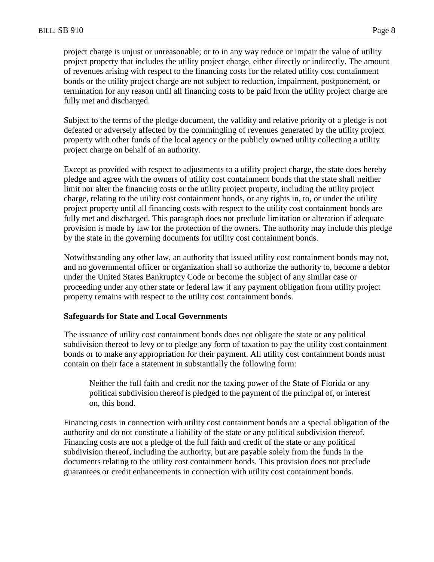project charge is unjust or unreasonable; or to in any way reduce or impair the value of utility project property that includes the utility project charge, either directly or indirectly. The amount of revenues arising with respect to the financing costs for the related utility cost containment bonds or the utility project charge are not subject to reduction, impairment, postponement, or termination for any reason until all financing costs to be paid from the utility project charge are fully met and discharged.

Subject to the terms of the pledge document, the validity and relative priority of a pledge is not defeated or adversely affected by the commingling of revenues generated by the utility project property with other funds of the local agency or the publicly owned utility collecting a utility project charge on behalf of an authority.

Except as provided with respect to adjustments to a utility project charge, the state does hereby pledge and agree with the owners of utility cost containment bonds that the state shall neither limit nor alter the financing costs or the utility project property, including the utility project charge, relating to the utility cost containment bonds, or any rights in, to, or under the utility project property until all financing costs with respect to the utility cost containment bonds are fully met and discharged. This paragraph does not preclude limitation or alteration if adequate provision is made by law for the protection of the owners. The authority may include this pledge by the state in the governing documents for utility cost containment bonds.

Notwithstanding any other law, an authority that issued utility cost containment bonds may not, and no governmental officer or organization shall so authorize the authority to, become a debtor under the United States Bankruptcy Code or become the subject of any similar case or proceeding under any other state or federal law if any payment obligation from utility project property remains with respect to the utility cost containment bonds.

## **Safeguards for State and Local Governments**

The issuance of utility cost containment bonds does not obligate the state or any political subdivision thereof to levy or to pledge any form of taxation to pay the utility cost containment bonds or to make any appropriation for their payment. All utility cost containment bonds must contain on their face a statement in substantially the following form:

Neither the full faith and credit nor the taxing power of the State of Florida or any political subdivision thereof is pledged to the payment of the principal of, or interest on, this bond.

Financing costs in connection with utility cost containment bonds are a special obligation of the authority and do not constitute a liability of the state or any political subdivision thereof. Financing costs are not a pledge of the full faith and credit of the state or any political subdivision thereof, including the authority, but are payable solely from the funds in the documents relating to the utility cost containment bonds. This provision does not preclude guarantees or credit enhancements in connection with utility cost containment bonds.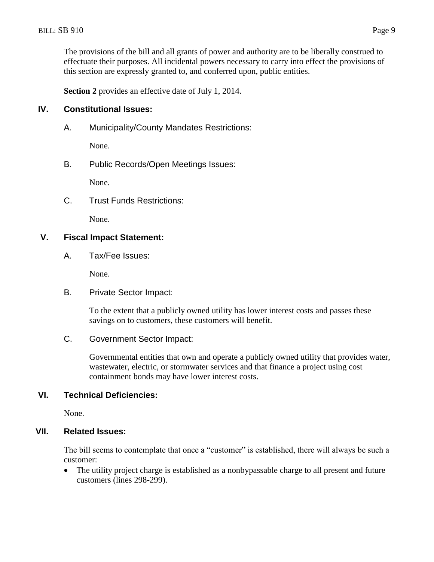The provisions of the bill and all grants of power and authority are to be liberally construed to effectuate their purposes. All incidental powers necessary to carry into effect the provisions of this section are expressly granted to, and conferred upon, public entities.

**Section 2** provides an effective date of July 1, 2014.

## **IV. Constitutional Issues:**

A. Municipality/County Mandates Restrictions:

None.

B. Public Records/Open Meetings Issues:

None.

C. Trust Funds Restrictions:

None.

## **V. Fiscal Impact Statement:**

A. Tax/Fee Issues:

None.

B. Private Sector Impact:

To the extent that a publicly owned utility has lower interest costs and passes these savings on to customers, these customers will benefit.

## C. Government Sector Impact:

Governmental entities that own and operate a publicly owned utility that provides water, wastewater, electric, or stormwater services and that finance a project using cost containment bonds may have lower interest costs.

## **VI. Technical Deficiencies:**

None.

## **VII. Related Issues:**

The bill seems to contemplate that once a "customer" is established, there will always be such a customer:

• The utility project charge is established as a nonbypassable charge to all present and future customers (lines 298-299).